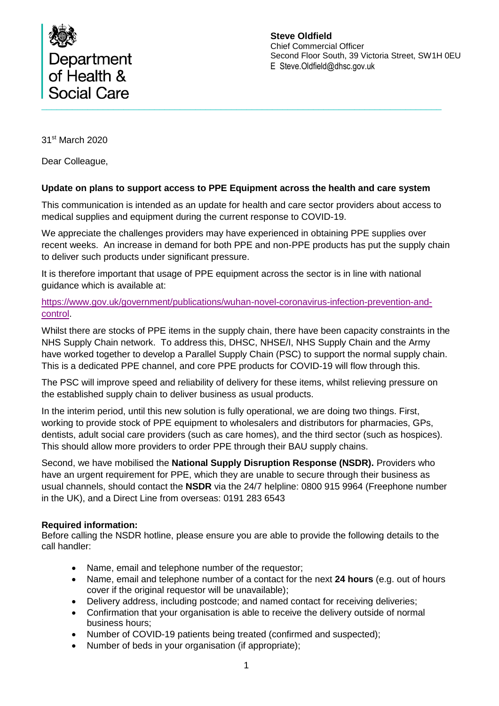

**Steve Oldfield** Chief Commercial Officer Second Floor South, 39 Victoria Street, SW1H 0EU E Steve.Oldfield@dhsc.gov.uk

31st March 2020

Dear Colleague,

#### **Update on plans to support access to PPE Equipment across the health and care system**

This communication is intended as an update for health and care sector providers about access to medical supplies and equipment during the current response to COVID-19.

We appreciate the challenges providers may have experienced in obtaining PPE supplies over recent weeks. An increase in demand for both PPE and non-PPE products has put the supply chain to deliver such products under significant pressure.

It is therefore important that usage of PPE equipment across the sector is in line with national guidance which is available at:

[https://www.gov.uk/government/publications/wuhan-novel-coronavirus-infection-prevention-and](https://www.gov.uk/government/publications/wuhan-novel-coronavirus-infection-prevention-and-control)[control.](https://www.gov.uk/government/publications/wuhan-novel-coronavirus-infection-prevention-and-control)

Whilst there are stocks of PPE items in the supply chain, there have been capacity constraints in the NHS Supply Chain network. To address this, DHSC, NHSE/I, NHS Supply Chain and the Army have worked together to develop a Parallel Supply Chain (PSC) to support the normal supply chain. This is a dedicated PPE channel, and core PPE products for COVID-19 will flow through this.

The PSC will improve speed and reliability of delivery for these items, whilst relieving pressure on the established supply chain to deliver business as usual products.

In the interim period, until this new solution is fully operational, we are doing two things. First, working to provide stock of PPE equipment to wholesalers and distributors for pharmacies, GPs, dentists, adult social care providers (such as care homes), and the third sector (such as hospices). This should allow more providers to order PPE through their BAU supply chains.

Second, we have mobilised the **National Supply Disruption Response (NSDR).** Providers who have an urgent requirement for PPE, which they are unable to secure through their business as usual channels, should contact the **NSDR** via the 24/7 helpline: 0800 915 9964 (Freephone number in the UK), and a Direct Line from overseas: 0191 283 6543

#### **Required information:**

Before calling the NSDR hotline, please ensure you are able to provide the following details to the call handler:

- Name, email and telephone number of the requestor;
- Name, email and telephone number of a contact for the next **24 hours** (e.g. out of hours cover if the original requestor will be unavailable);
- Delivery address, including postcode; and named contact for receiving deliveries;
- Confirmation that your organisation is able to receive the delivery outside of normal business hours;
- Number of COVID-19 patients being treated (confirmed and suspected);
- Number of beds in your organisation (if appropriate);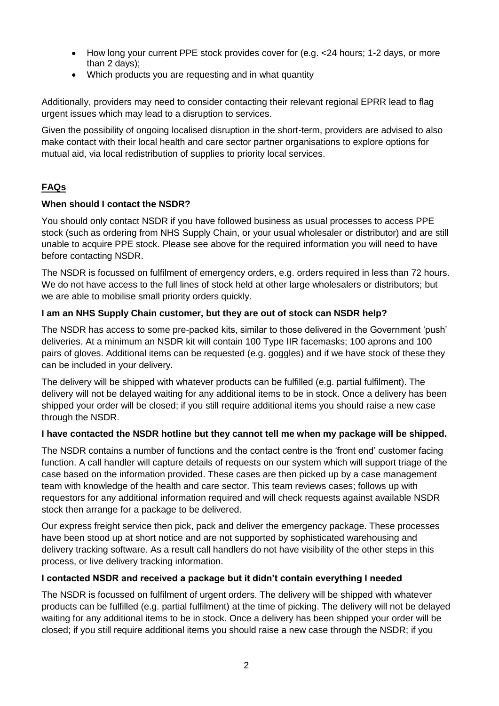- How long your current PPE stock provides cover for (e.g. < 24 hours; 1-2 days, or more than 2 days);
- Which products you are requesting and in what quantity

Additionally, providers may need to consider contacting their relevant regional EPRR lead to flag urgent issues which may lead to a disruption to services.

Given the possibility of ongoing localised disruption in the short-term, providers are advised to also make contact with their local health and care sector partner organisations to explore options for mutual aid, via local redistribution of supplies to priority local services.

# **FAQs**

## **When should I contact the NSDR?**

You should only contact NSDR if you have followed business as usual processes to access PPE stock (such as ordering from NHS Supply Chain, or your usual wholesaler or distributor) and are still unable to acquire PPE stock. Please see above for the required information you will need to have before contacting NSDR.

The NSDR is focussed on fulfilment of emergency orders, e.g. orders required in less than 72 hours. We do not have access to the full lines of stock held at other large wholesalers or distributors; but we are able to mobilise small priority orders quickly.

## **I am an NHS Supply Chain customer, but they are out of stock can NSDR help?**

The NSDR has access to some pre-packed kits, similar to those delivered in the Government 'push' deliveries. At a minimum an NSDR kit will contain 100 Type IIR facemasks; 100 aprons and 100 pairs of gloves. Additional items can be requested (e.g. goggles) and if we have stock of these they can be included in your delivery.

The delivery will be shipped with whatever products can be fulfilled (e.g. partial fulfilment). The delivery will not be delayed waiting for any additional items to be in stock. Once a delivery has been shipped your order will be closed; if you still require additional items you should raise a new case through the NSDR.

#### **I have contacted the NSDR hotline but they cannot tell me when my package will be shipped.**

The NSDR contains a number of functions and the contact centre is the 'front end' customer facing function. A call handler will capture details of requests on our system which will support triage of the case based on the information provided. These cases are then picked up by a case management team with knowledge of the health and care sector. This team reviews cases; follows up with requestors for any additional information required and will check requests against available NSDR stock then arrange for a package to be delivered.

Our express freight service then pick, pack and deliver the emergency package. These processes have been stood up at short notice and are not supported by sophisticated warehousing and delivery tracking software. As a result call handlers do not have visibility of the other steps in this process, or live delivery tracking information.

#### **I contacted NSDR and received a package but it didn't contain everything I needed**

The NSDR is focussed on fulfilment of urgent orders. The delivery will be shipped with whatever products can be fulfilled (e.g. partial fulfilment) at the time of picking. The delivery will not be delayed waiting for any additional items to be in stock. Once a delivery has been shipped your order will be closed; if you still require additional items you should raise a new case through the NSDR; if you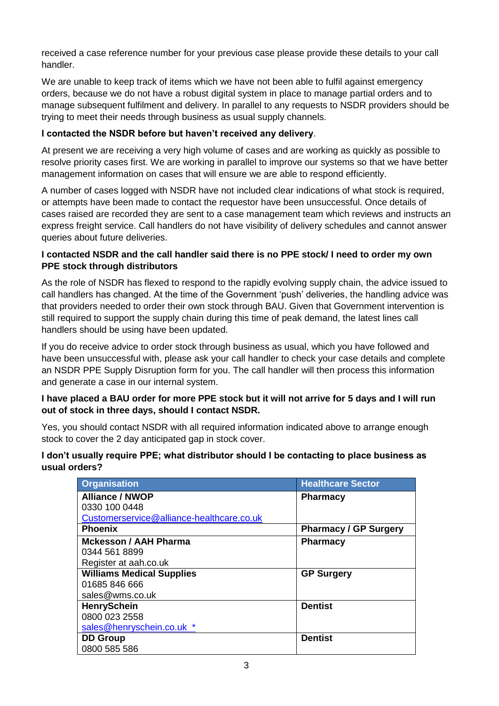received a case reference number for your previous case please provide these details to your call handler.

We are unable to keep track of items which we have not been able to fulfil against emergency orders, because we do not have a robust digital system in place to manage partial orders and to manage subsequent fulfilment and delivery. In parallel to any requests to NSDR providers should be trying to meet their needs through business as usual supply channels.

## **I contacted the NSDR before but haven't received any delivery**.

At present we are receiving a very high volume of cases and are working as quickly as possible to resolve priority cases first. We are working in parallel to improve our systems so that we have better management information on cases that will ensure we are able to respond efficiently.

A number of cases logged with NSDR have not included clear indications of what stock is required, or attempts have been made to contact the requestor have been unsuccessful. Once details of cases raised are recorded they are sent to a case management team which reviews and instructs an express freight service. Call handlers do not have visibility of delivery schedules and cannot answer queries about future deliveries.

#### **I contacted NSDR and the call handler said there is no PPE stock/ I need to order my own PPE stock through distributors**

As the role of NSDR has flexed to respond to the rapidly evolving supply chain, the advice issued to call handlers has changed. At the time of the Government 'push' deliveries, the handling advice was that providers needed to order their own stock through BAU. Given that Government intervention is still required to support the supply chain during this time of peak demand, the latest lines call handlers should be using have been updated.

If you do receive advice to order stock through business as usual, which you have followed and have been unsuccessful with, please ask your call handler to check your case details and complete an NSDR PPE Supply Disruption form for you. The call handler will then process this information and generate a case in our internal system.

#### **I have placed a BAU order for more PPE stock but it will not arrive for 5 days and I will run out of stock in three days, should I contact NSDR.**

Yes, you should contact NSDR with all required information indicated above to arrange enough stock to cover the 2 day anticipated gap in stock cover.

#### **I don't usually require PPE; what distributor should I be contacting to place business as usual orders?**

| <b>Organisation</b>                       | <b>Healthcare Sector</b>     |
|-------------------------------------------|------------------------------|
| <b>Alliance / NWOP</b>                    | <b>Pharmacy</b>              |
| 0330 100 0448                             |                              |
| Customerservice@alliance-healthcare.co.uk |                              |
| <b>Phoenix</b>                            | <b>Pharmacy / GP Surgery</b> |
| <b>Mckesson / AAH Pharma</b>              | <b>Pharmacy</b>              |
| 0344 561 8899                             |                              |
| Register at aah.co.uk                     |                              |
| <b>Williams Medical Supplies</b>          | <b>GP Surgery</b>            |
| 01685 846 666                             |                              |
| sales@wms.co.uk                           |                              |
| <b>HenrySchein</b>                        | <b>Dentist</b>               |
| 0800 023 2558                             |                              |
| sales@henryschein.co.uk *                 |                              |
| <b>DD Group</b>                           | <b>Dentist</b>               |
| 0800 585 586                              |                              |